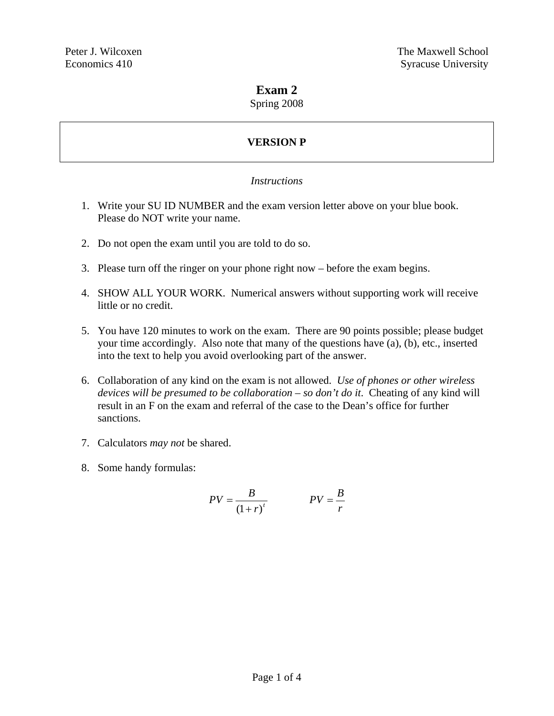### **Exam 2**

Spring 2008

# **VERSION P**

### *Instructions*

- 1. Write your SU ID NUMBER and the exam version letter above on your blue book. Please do NOT write your name.
- 2. Do not open the exam until you are told to do so.
- 3. Please turn off the ringer on your phone right now before the exam begins.
- 4. SHOW ALL YOUR WORK. Numerical answers without supporting work will receive little or no credit.
- 5. You have 120 minutes to work on the exam. There are 90 points possible; please budget your time accordingly. Also note that many of the questions have (a), (b), etc., inserted into the text to help you avoid overlooking part of the answer.
- 6. Collaboration of any kind on the exam is not allowed. *Use of phones or other wireless devices will be presumed to be collaboration – so don't do it*. Cheating of any kind will result in an F on the exam and referral of the case to the Dean's office for further sanctions.
- 7. Calculators *may not* be shared.
- 8. Some handy formulas:

$$
PV = \frac{B}{\left(1+r\right)^{t}} \qquad PV = \frac{B}{r}
$$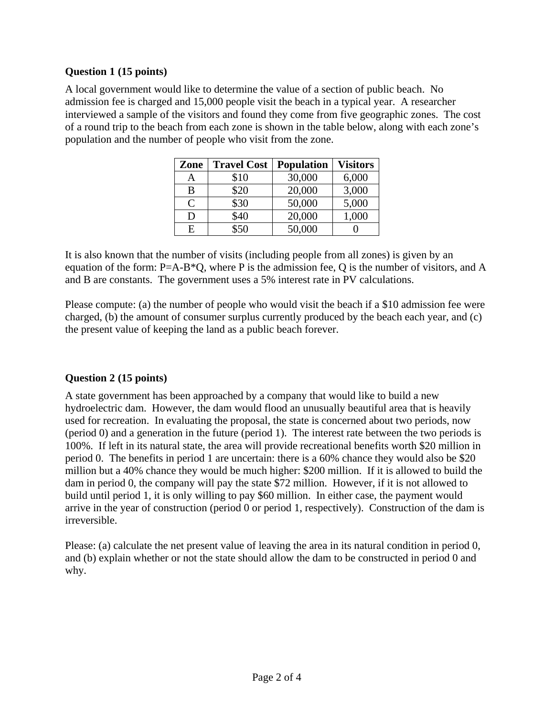### **Question 1 (15 points)**

A local government would like to determine the value of a section of public beach. No admission fee is charged and 15,000 people visit the beach in a typical year. A researcher interviewed a sample of the visitors and found they come from five geographic zones. The cost of a round trip to the beach from each zone is shown in the table below, along with each zone's population and the number of people who visit from the zone.

| Zone          | <b>Travel Cost</b> | <b>Population</b> | <b>Visitors</b> |
|---------------|--------------------|-------------------|-----------------|
| Α             | \$10               | 30,000            | 6,000           |
| B             | \$20               | 20,000            | 3,000           |
| $\mathcal{C}$ | \$30               | 50,000            | 5,000           |
| D             | \$40               | 20,000            | 1,000           |
| Е             | \$50               | 50,000            |                 |

It is also known that the number of visits (including people from all zones) is given by an equation of the form: P=A-B\*Q, where P is the admission fee, Q is the number of visitors, and A and B are constants. The government uses a 5% interest rate in PV calculations.

Please compute: (a) the number of people who would visit the beach if a \$10 admission fee were charged, (b) the amount of consumer surplus currently produced by the beach each year, and (c) the present value of keeping the land as a public beach forever.

## **Question 2 (15 points)**

A state government has been approached by a company that would like to build a new hydroelectric dam. However, the dam would flood an unusually beautiful area that is heavily used for recreation. In evaluating the proposal, the state is concerned about two periods, now (period 0) and a generation in the future (period 1). The interest rate between the two periods is 100%. If left in its natural state, the area will provide recreational benefits worth \$20 million in period 0. The benefits in period 1 are uncertain: there is a 60% chance they would also be \$20 million but a 40% chance they would be much higher: \$200 million. If it is allowed to build the dam in period 0, the company will pay the state \$72 million. However, if it is not allowed to build until period 1, it is only willing to pay \$60 million. In either case, the payment would arrive in the year of construction (period 0 or period 1, respectively). Construction of the dam is irreversible.

Please: (a) calculate the net present value of leaving the area in its natural condition in period 0, and (b) explain whether or not the state should allow the dam to be constructed in period 0 and why.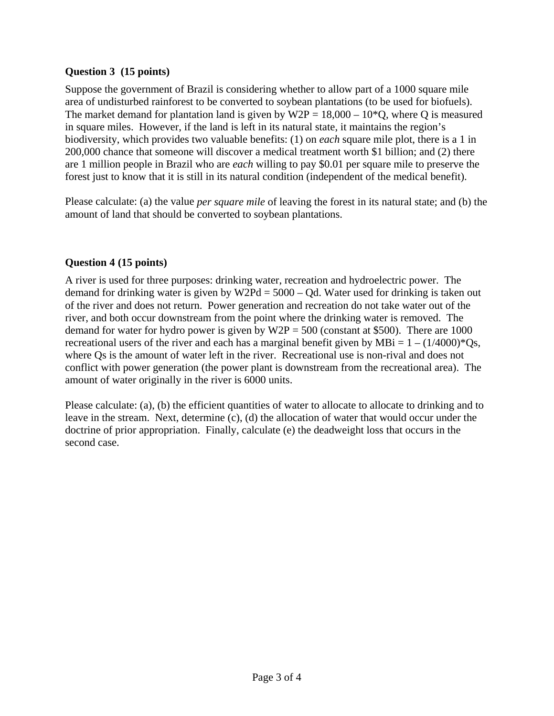### **Question 3 (15 points)**

Suppose the government of Brazil is considering whether to allow part of a 1000 square mile area of undisturbed rainforest to be converted to soybean plantations (to be used for biofuels). The market demand for plantation land is given by  $W2P = 18,000 - 10*Q$ , where Q is measured in square miles. However, if the land is left in its natural state, it maintains the region's biodiversity, which provides two valuable benefits: (1) on *each* square mile plot, there is a 1 in 200,000 chance that someone will discover a medical treatment worth \$1 billion; and (2) there are 1 million people in Brazil who are *each* willing to pay \$0.01 per square mile to preserve the forest just to know that it is still in its natural condition (independent of the medical benefit).

Please calculate: (a) the value *per square mile* of leaving the forest in its natural state; and (b) the amount of land that should be converted to soybean plantations.

### **Question 4 (15 points)**

A river is used for three purposes: drinking water, recreation and hydroelectric power. The demand for drinking water is given by  $W2Pd = 5000 - Qd$ . Water used for drinking is taken out of the river and does not return. Power generation and recreation do not take water out of the river, and both occur downstream from the point where the drinking water is removed. The demand for water for hydro power is given by  $W2P = 500$  (constant at \$500). There are 1000 recreational users of the river and each has a marginal benefit given by  $MBi = 1 - (1/4000)^*Qs$ , where Qs is the amount of water left in the river. Recreational use is non-rival and does not conflict with power generation (the power plant is downstream from the recreational area). The amount of water originally in the river is 6000 units.

Please calculate: (a), (b) the efficient quantities of water to allocate to allocate to drinking and to leave in the stream. Next, determine (c), (d) the allocation of water that would occur under the doctrine of prior appropriation. Finally, calculate (e) the deadweight loss that occurs in the second case.